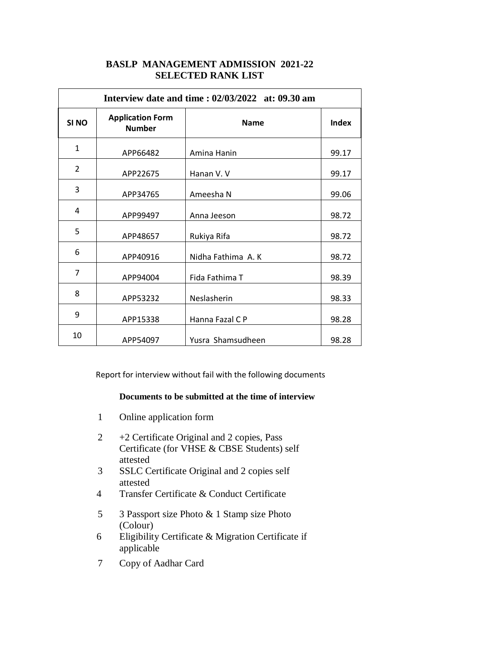# **BASLP MANAGEMENT ADMISSION 2021-22 SELECTED RANK LIST**

| Interview date and time : 02/03/2022 at: 09.30 am |                                          |                   |       |  |  |  |
|---------------------------------------------------|------------------------------------------|-------------------|-------|--|--|--|
| SI <sub>NO</sub>                                  | <b>Application Form</b><br><b>Number</b> | <b>Name</b>       | Index |  |  |  |
| $\mathbf{1}$                                      | APP66482                                 | Amina Hanin       | 99.17 |  |  |  |
| $\overline{2}$                                    | APP22675                                 | Hanan V.V         | 99.17 |  |  |  |
| 3                                                 | APP34765                                 | Ameesha N         | 99.06 |  |  |  |
| 4                                                 | APP99497                                 | Anna Jeeson       | 98.72 |  |  |  |
| 5                                                 | APP48657                                 | Rukiya Rifa       | 98.72 |  |  |  |
| 6                                                 | APP40916                                 | Nidha Fathima A.K | 98.72 |  |  |  |
| $\overline{7}$                                    | APP94004                                 | Fida Fathima T    | 98.39 |  |  |  |
| 8                                                 | APP53232                                 | Neslasherin       | 98.33 |  |  |  |
| 9                                                 | APP15338                                 | Hanna Fazal C P   | 98.28 |  |  |  |
| 10                                                | APP54097                                 | Yusra Shamsudheen | 98.28 |  |  |  |

Report for interview without fail with the following documents

- 1 Online application form
- 2 +2 Certificate Original and 2 copies, Pass Certificate (for VHSE & CBSE Students) self attested
- 3 SSLC Certificate Original and 2 copies self attested
- 4 Transfer Certificate & Conduct Certificate
- 5 3 Passport size Photo & 1 Stamp size Photo (Colour)
- 6 Eligibility Certificate & Migration Certificate if applicable
- 7 Copy of Aadhar Card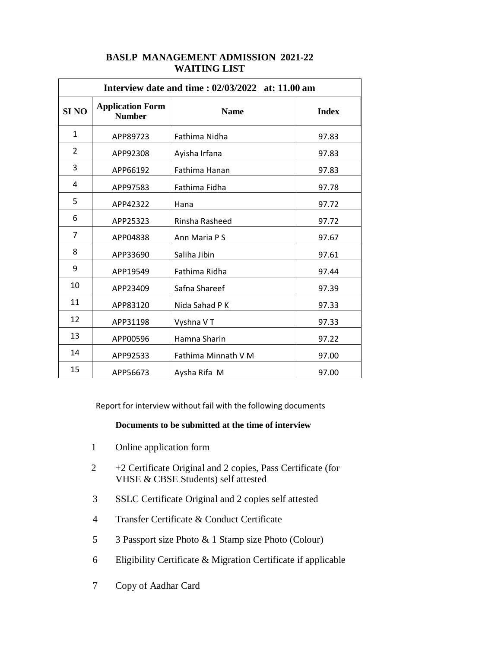| Interview date and time: $02/03/2022$ at: 11.00 am |                                          |                     |              |  |  |
|----------------------------------------------------|------------------------------------------|---------------------|--------------|--|--|
| <b>SINO</b>                                        | <b>Application Form</b><br><b>Number</b> | <b>Name</b>         | <b>Index</b> |  |  |
| $\mathbf{1}$                                       | APP89723                                 | Fathima Nidha       | 97.83        |  |  |
| $\overline{2}$                                     | APP92308                                 | Ayisha Irfana       | 97.83        |  |  |
| 3                                                  | APP66192                                 | Fathima Hanan       | 97.83        |  |  |
| 4                                                  | APP97583                                 | Fathima Fidha       | 97.78        |  |  |
| 5                                                  | APP42322                                 | Hana                | 97.72        |  |  |
| 6                                                  | APP25323                                 | Rinsha Rasheed      | 97.72        |  |  |
| $\overline{7}$                                     | APP04838                                 | Ann Maria P S       | 97.67        |  |  |
| 8                                                  | APP33690                                 | Saliha Jibin        | 97.61        |  |  |
| 9                                                  | APP19549                                 | Fathima Ridha       | 97.44        |  |  |
| 10                                                 | APP23409                                 | Safna Shareef       | 97.39        |  |  |
| 11                                                 | APP83120                                 | Nida Sahad P K      | 97.33        |  |  |
| 12                                                 | APP31198                                 | Vyshna V T          | 97.33        |  |  |
| 13                                                 | APP00596                                 | Hamna Sharin        | 97.22        |  |  |
| 14                                                 | APP92533                                 | Fathima Minnath V M | 97.00        |  |  |
| 15                                                 | APP56673                                 | Aysha Rifa M        | 97.00        |  |  |

## **BASLP MANAGEMENT ADMISSION 2021-22 WAITING LIST**

Report for interview without fail with the following documents

- 1 Online application form
- +2 Certificate Original and 2 copies, Pass Certificate (for VHSE & CBSE Students) self attested
- SSLC Certificate Original and 2 copies self attested
- Transfer Certificate & Conduct Certificate
- 3 Passport size Photo & 1 Stamp size Photo (Colour)
- Eligibility Certificate & Migration Certificate if applicable
- Copy of Aadhar Card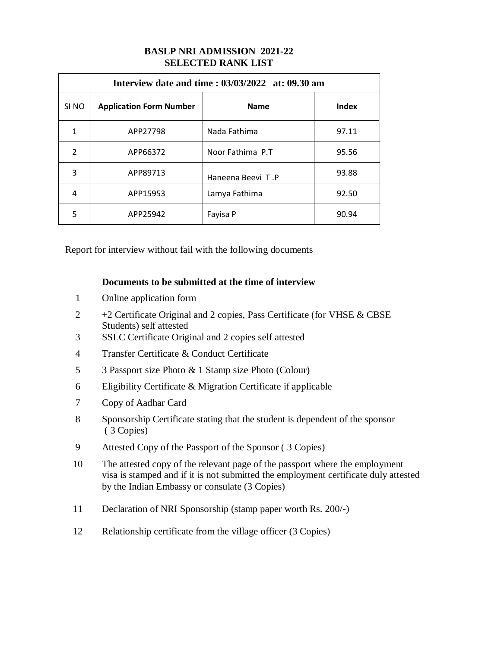# **BASLP NRI ADMISSION 2021-22 SELECTED RANK LIST**

| Interview date and time: $03/03/2022$ at: 09.30 am |                                |                   |       |  |  |  |
|----------------------------------------------------|--------------------------------|-------------------|-------|--|--|--|
| SI <sub>NO</sub>                                   | <b>Application Form Number</b> | <b>Name</b>       | Index |  |  |  |
| 1                                                  | APP27798                       | Nada Fathima      | 97.11 |  |  |  |
| $\mathcal{P}$                                      | APP66372                       | Noor Fathima P.T  | 95.56 |  |  |  |
| 3                                                  | APP89713                       | Haneena Beevi T.P | 93.88 |  |  |  |
| 4                                                  | APP15953                       | Lamya Fathima     | 92.50 |  |  |  |
| 5                                                  | APP25942                       | Fayisa P          | 90.94 |  |  |  |

Report for interview without fail with the following documents

- Online application form
- +2 Certificate Original and 2 copies, Pass Certificate (for VHSE & CBSE Students) self attested
- SSLC Certificate Original and 2 copies self attested
- Transfer Certificate & Conduct Certificate
- 3 Passport size Photo & 1 Stamp size Photo (Colour)
- Eligibility Certificate & Migration Certificate if applicable
- Copy of Aadhar Card
- Sponsorship Certificate stating that the student is dependent of the sponsor ( 3 Copies)
- Attested Copy of the Passport of the Sponsor ( 3 Copies)
- The attested copy of the relevant page of the passport where the employment visa is stamped and if it is not submitted the employment certificate duly attested by the Indian Embassy or consulate (3 Copies)
- Declaration of NRI Sponsorship (stamp paper worth Rs. 200/-)
- Relationship certificate from the village officer (3 Copies)